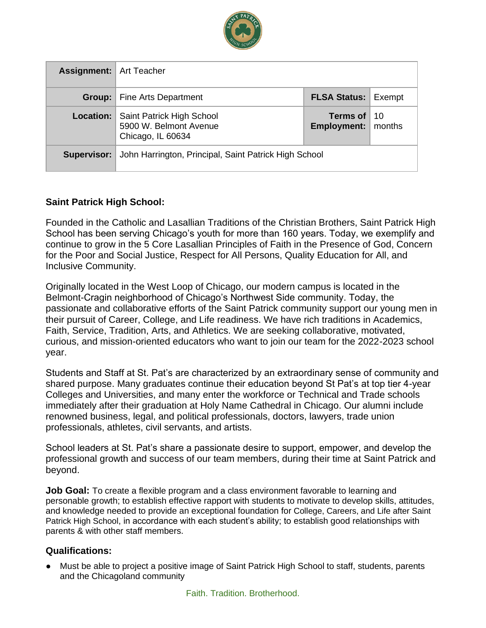

| <b>Assignment:</b> Art Teacher |                                                                          |                                              |  |
|--------------------------------|--------------------------------------------------------------------------|----------------------------------------------|--|
| Group:                         | <b>Fine Arts Department</b>                                              | <b>FLSA Status: Exempt</b>                   |  |
| Location:                      | Saint Patrick High School<br>5900 W. Belmont Avenue<br>Chicago, IL 60634 | Terms of $10$<br><b>Employment:</b>   months |  |
| Supervisor:                    | John Harrington, Principal, Saint Patrick High School                    |                                              |  |

### **Saint Patrick High School:**

Founded in the Catholic and Lasallian Traditions of the Christian Brothers, Saint Patrick High School has been serving Chicago's youth for more than 160 years. Today, we exemplify and continue to grow in the 5 Core Lasallian Principles of Faith in the Presence of God, Concern for the Poor and Social Justice, Respect for All Persons, Quality Education for All, and Inclusive Community.

Originally located in the West Loop of Chicago, our modern campus is located in the Belmont-Cragin neighborhood of Chicago's Northwest Side community. Today, the passionate and collaborative efforts of the Saint Patrick community support our young men in their pursuit of Career, College, and Life readiness. We have rich traditions in Academics, Faith, Service, Tradition, Arts, and Athletics. We are seeking collaborative, motivated, curious, and mission-oriented educators who want to join our team for the 2022-2023 school year.

Students and Staff at St. Pat's are characterized by an extraordinary sense of community and shared purpose. Many graduates continue their education beyond St Pat's at top tier 4-year Colleges and Universities, and many enter the workforce or Technical and Trade schools immediately after their graduation at Holy Name Cathedral in Chicago. Our alumni include renowned business, legal, and political professionals, doctors, lawyers, trade union professionals, athletes, civil servants, and artists.

School leaders at St. Pat's share a passionate desire to support, empower, and develop the professional growth and success of our team members, during their time at Saint Patrick and beyond.

**Job Goal:** To create a flexible program and a class environment favorable to learning and personable growth; to establish effective rapport with students to motivate to develop skills, attitudes, and knowledge needed to provide an exceptional foundation for College, Careers, and Life after Saint Patrick High School, in accordance with each student's ability; to establish good relationships with parents & with other staff members.

### **Qualifications:**

● Must be able to project a positive image of Saint Patrick High School to staff, students, parents and the Chicagoland community